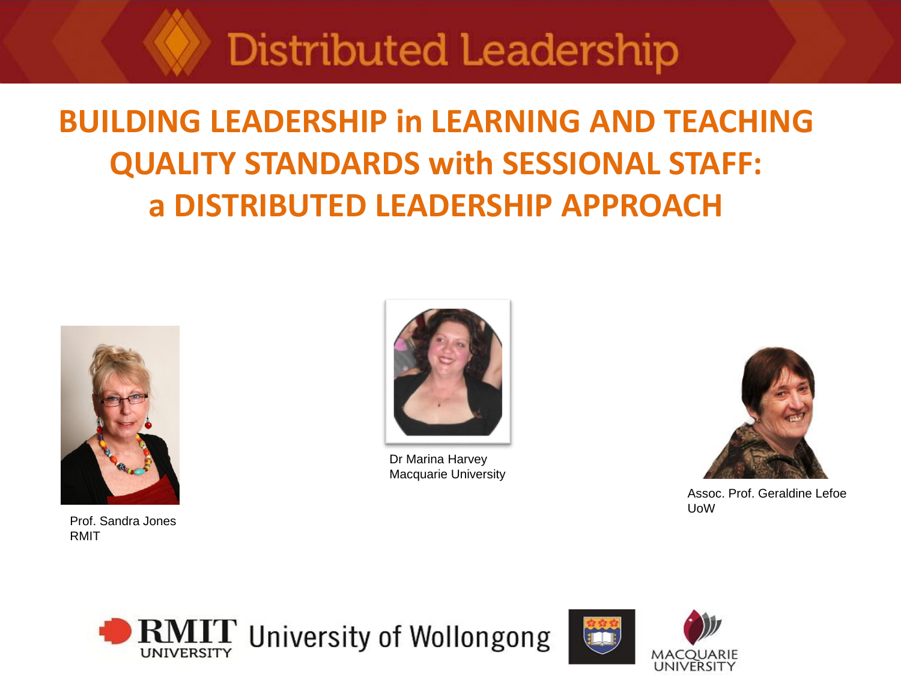#### **BUILDING LEADERSHIP in LEARNING AND TEACHING QUALITY STANDARDS with SESSIONAL STAFF: a DISTRIBUTED LEADERSHIP APPROACH**



Prof. Sandra Jones RMIT



Dr Marina Harvey Macquarie University



Assoc. Prof. Geraldine Lefoe UoW



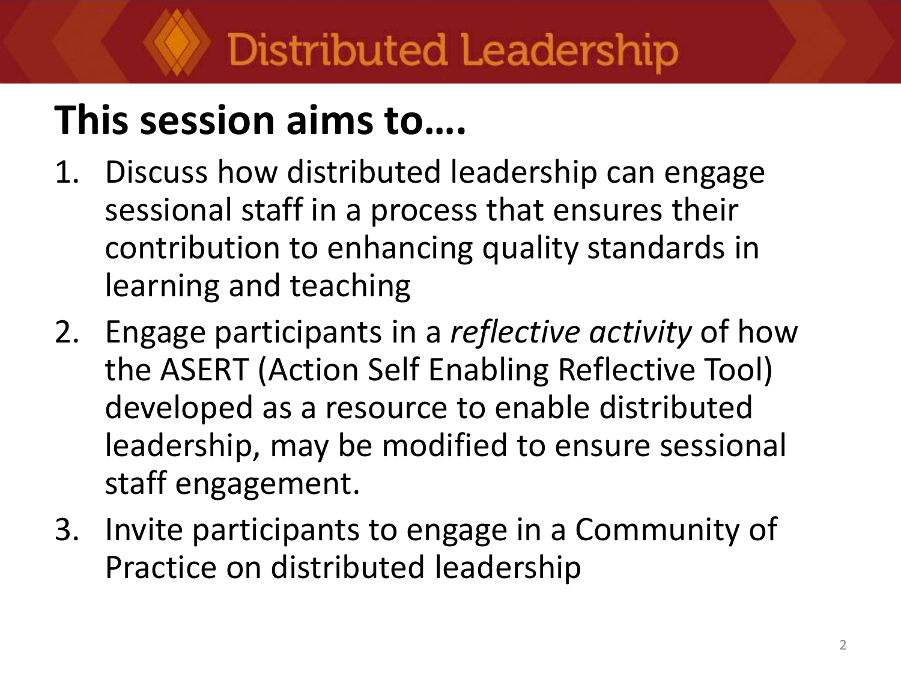# **This session aims to….**

- 1. Discuss how distributed leadership can engage sessional staff in a process that ensures their contribution to enhancing quality standards in learning and teaching
- 2. Engage participants in a *reflective activity* of how the ASERT (Action Self Enabling Reflective Tool) developed as a resource to enable distributed leadership, may be modified to ensure sessional staff engagement.
- 3. Invite participants to engage in a Community of Practice on distributed leadership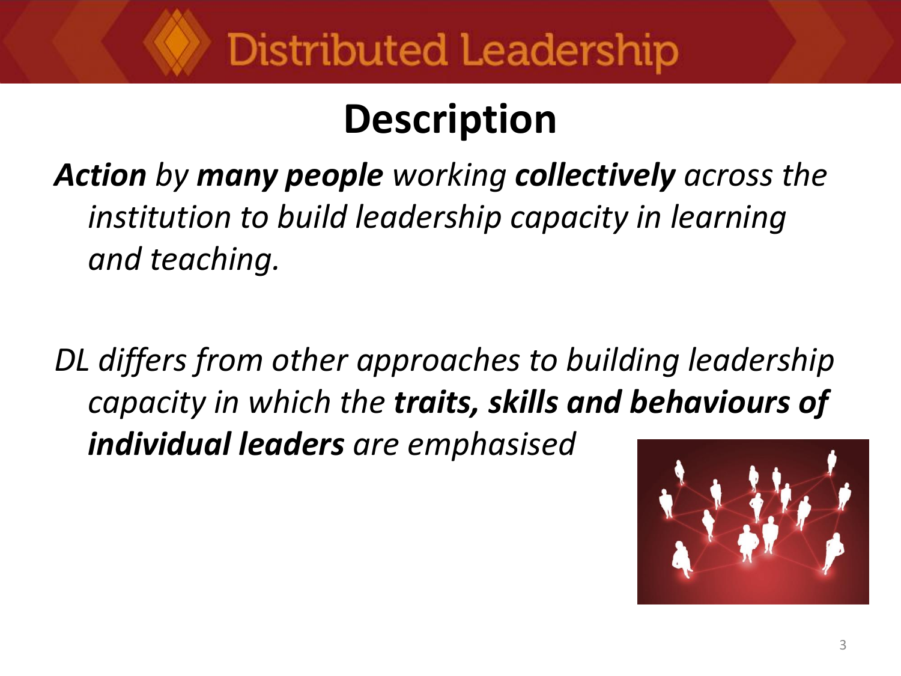# **Description**

*Action by many people working collectively across the institution to build leadership capacity in learning and teaching.* 

*DL differs from other approaches to building leadership capacity in which the traits, skills and behaviours of individual leaders are emphasised*

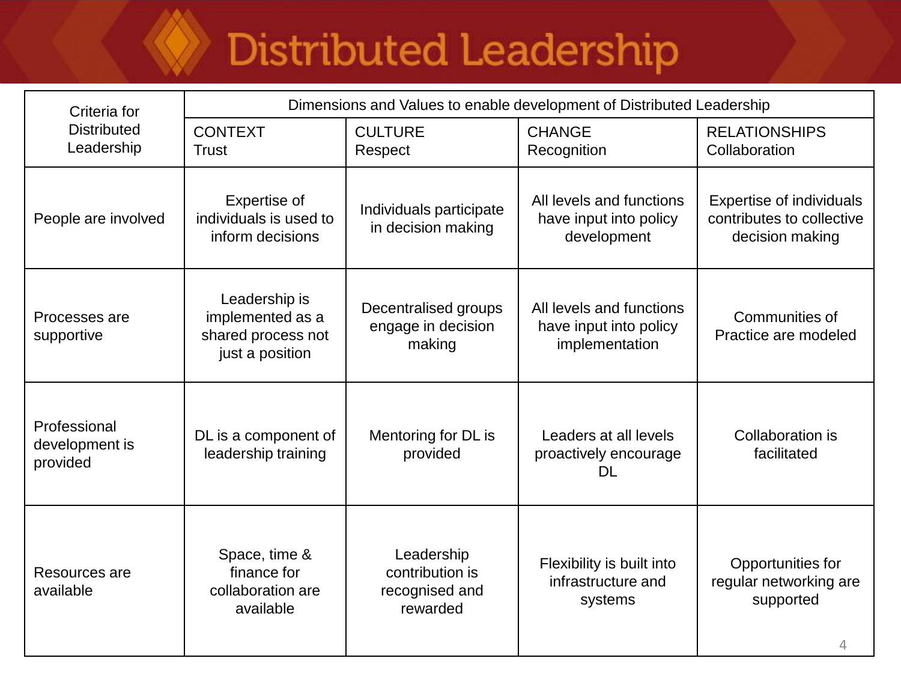| Criteria for                               | Dimensions and Values to enable development of Distributed Leadership      |                                                             |                                                                      |                                                                                 |  |
|--------------------------------------------|----------------------------------------------------------------------------|-------------------------------------------------------------|----------------------------------------------------------------------|---------------------------------------------------------------------------------|--|
| <b>Distributed</b><br>Leadership           | <b>CONTEXT</b><br><b>Trust</b>                                             | <b>CULTURE</b><br>Respect                                   | <b>CHANGE</b><br>Recognition                                         | <b>RELATIONSHIPS</b><br>Collaboration                                           |  |
| People are involved                        | Expertise of<br>individuals is used to<br>inform decisions                 | Individuals participate<br>in decision making               | All levels and functions<br>have input into policy<br>development    | <b>Expertise of individuals</b><br>contributes to collective<br>decision making |  |
| Processes are<br>supportive                | Leadership is<br>implemented as a<br>shared process not<br>just a position | Decentralised groups<br>engage in decision<br>making        | All levels and functions<br>have input into policy<br>implementation | Communities of<br>Practice are modeled                                          |  |
| Professional<br>development is<br>provided | DL is a component of<br>leadership training                                | Mentoring for DL is<br>provided                             | Leaders at all levels<br>proactively encourage<br>DL                 | Collaboration is<br>facilitated                                                 |  |
| Resources are<br>available                 | Space, time &<br>finance for<br>collaboration are<br>available             | Leadership<br>contribution is<br>recognised and<br>rewarded | Flexibility is built into<br>infrastructure and<br>systems           | Opportunities for<br>regular networking are<br>supported<br>4                   |  |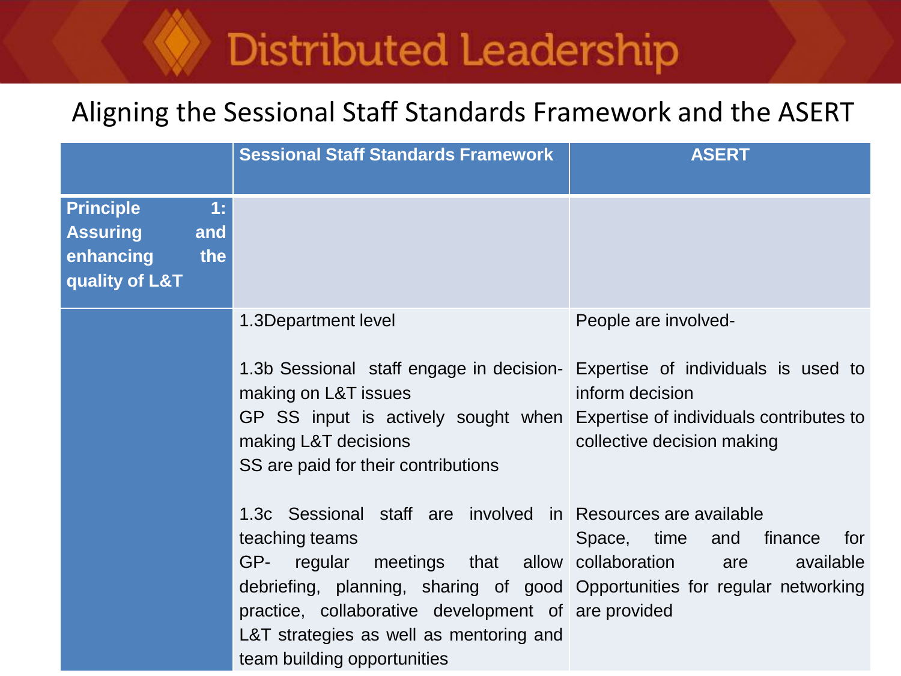#### Aligning the Sessional Staff Standards Framework and the ASERT

|                                                                                        | <b>Sessional Staff Standards Framework</b>                                                                                                                                                                                                                                                                                                        | <b>ASERT</b>                                                                                                                                            |
|----------------------------------------------------------------------------------------|---------------------------------------------------------------------------------------------------------------------------------------------------------------------------------------------------------------------------------------------------------------------------------------------------------------------------------------------------|---------------------------------------------------------------------------------------------------------------------------------------------------------|
| <b>Principle</b><br>1:<br><b>Assuring</b><br>and<br>enhancing<br>the<br>quality of L&T |                                                                                                                                                                                                                                                                                                                                                   |                                                                                                                                                         |
|                                                                                        | 1.3Department level<br>1.3b Sessional staff engage in decision-<br>making on L&T issues<br>GP SS input is actively sought when<br>making L&T decisions<br>SS are paid for their contributions                                                                                                                                                     | People are involved-<br>Expertise of individuals is used to<br>inform decision<br>Expertise of individuals contributes to<br>collective decision making |
|                                                                                        | 1.3c Sessional staff are involved in Resources are available<br>teaching teams<br>regular meetings that allow collaboration<br>GP-<br>debriefing, planning, sharing of good Opportunities for regular networking<br>practice, collaborative development of are provided<br>L&T strategies as well as mentoring and<br>team building opportunities | Space, time<br>and<br>finance<br>for<br>available<br>are                                                                                                |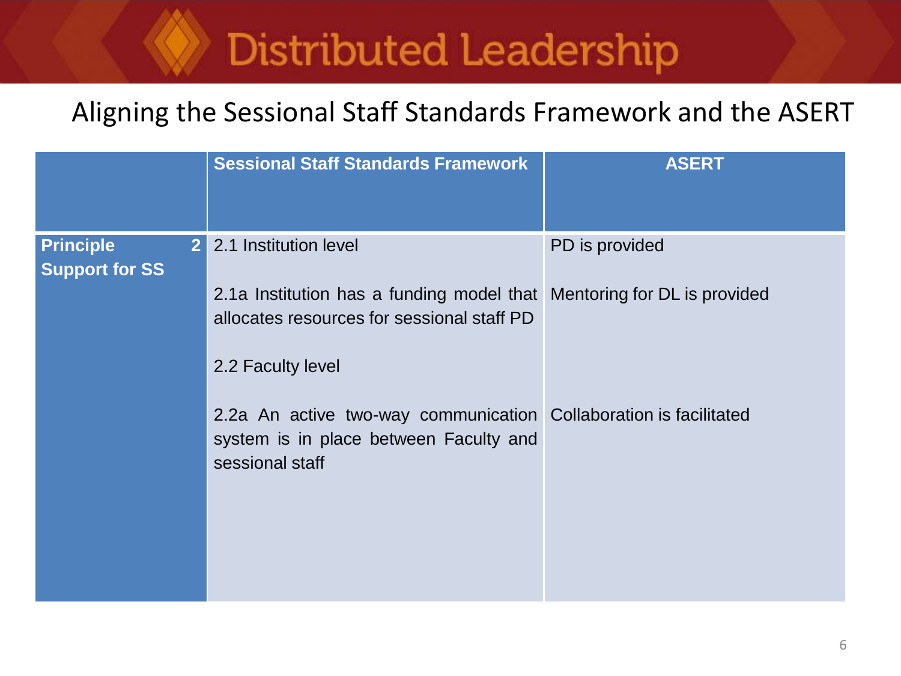#### Aligning the Sessional Staff Standards Framework and the ASERT

|                                           | <b>Sessional Staff Standards Framework</b>                                                                                                | <b>ASERT</b>   |
|-------------------------------------------|-------------------------------------------------------------------------------------------------------------------------------------------|----------------|
| <b>Principle</b><br><b>Support for SS</b> | 2 2.1 Institution level                                                                                                                   | PD is provided |
|                                           | 2.1a Institution has a funding model that Mentoring for DL is provided<br>allocates resources for sessional staff PD<br>2.2 Faculty level |                |
|                                           | 2.2a An active two-way communication Collaboration is facilitated<br>system is in place between Faculty and<br>sessional staff            |                |
|                                           |                                                                                                                                           |                |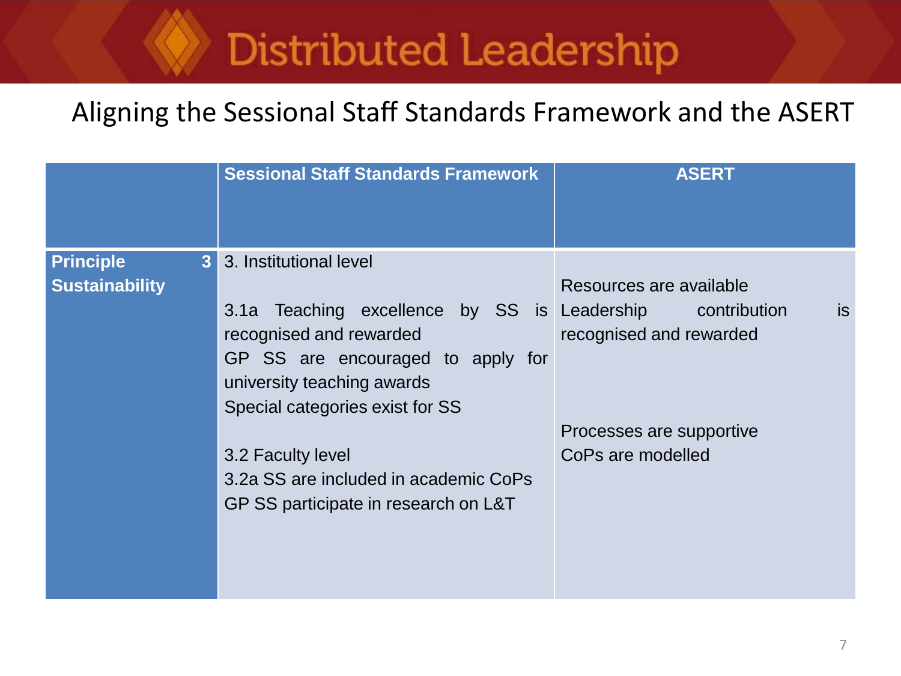#### Aligning the Sessional Staff Standards Framework and the ASERT

|                                                             | <b>Sessional Staff Standards Framework</b>                                                                                                                                                                                                                                                            | <b>ASERT</b>                                                                                                                                |
|-------------------------------------------------------------|-------------------------------------------------------------------------------------------------------------------------------------------------------------------------------------------------------------------------------------------------------------------------------------------------------|---------------------------------------------------------------------------------------------------------------------------------------------|
| <b>Principle</b><br>3 <sup>1</sup><br><b>Sustainability</b> | 3. Institutional level<br>Teaching excellence by SS is<br>3.1a<br>recognised and rewarded<br>GP SS are encouraged to apply for<br>university teaching awards<br>Special categories exist for SS<br>3.2 Faculty level<br>3.2a SS are included in academic CoPs<br>GP SS participate in research on L&T | Resources are available<br>Leadership contribution<br><b>is</b><br>recognised and rewarded<br>Processes are supportive<br>CoPs are modelled |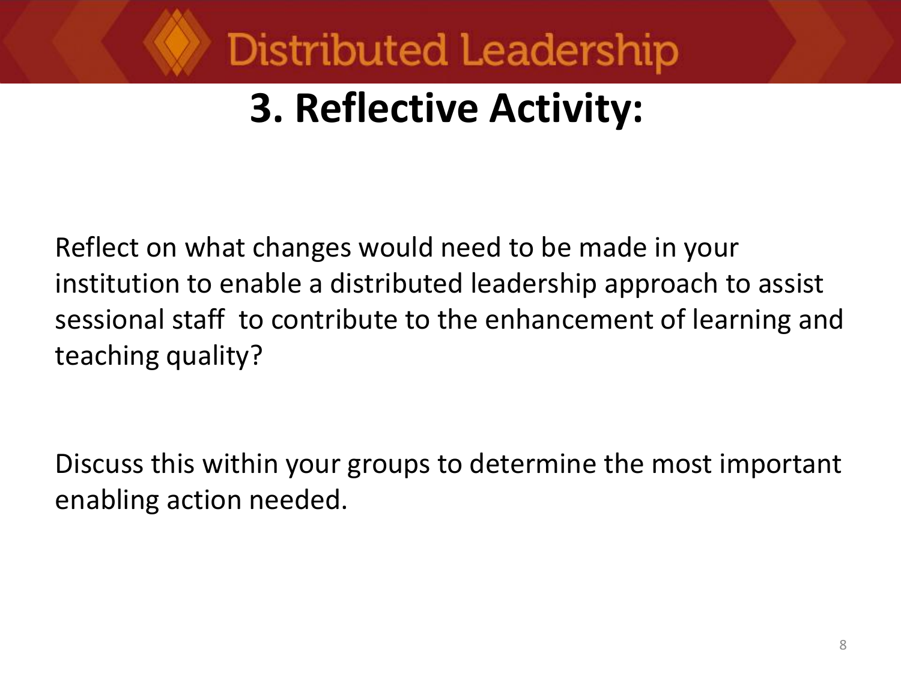

## **3. Reflective Activity:**

Reflect on what changes would need to be made in your institution to enable a distributed leadership approach to assist sessional staff to contribute to the enhancement of learning and teaching quality?

Discuss this within your groups to determine the most important enabling action needed.